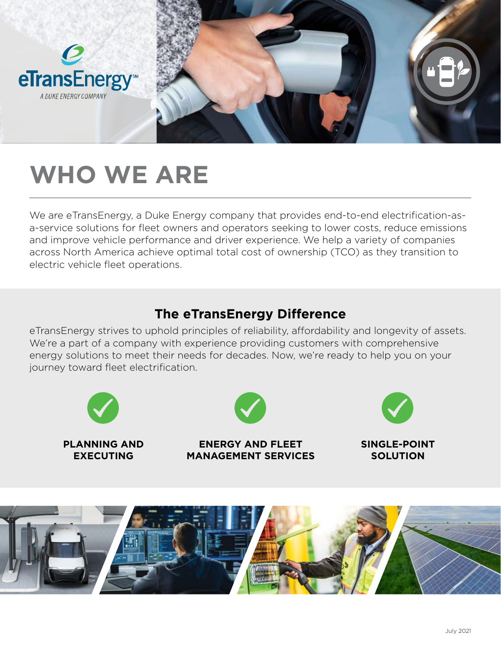



## **WHO WE ARE**

We are eTransEnergy, a Duke Energy company that provides end-to-end electrification-asa-service solutions for fleet owners and operators seeking to lower costs, reduce emissions and improve vehicle performance and driver experience. We help a variety of companies across North America achieve optimal total cost of ownership (TCO) as they transition to electric vehicle fleet operations.

### **The eTransEnergy Difference**

eTransEnergy strives to uphold principles of reliability, affordability and longevity of assets. We're a part of a company with experience providing customers with comprehensive energy solutions to meet their needs for decades. Now, we're ready to help you on your journey toward fleet electrification.



**PLANNING AND EXECUTING**



**ENERGY AND FLEET MANAGEMENT SERVICES**



**SINGLE-POINT SOLUTION**